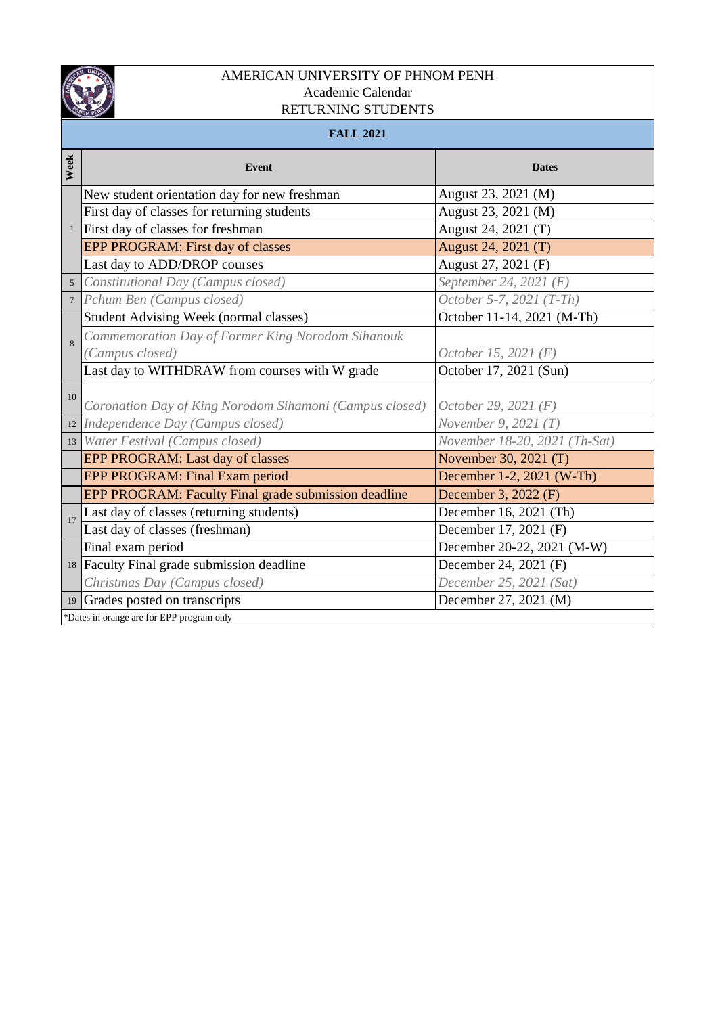

## AMERICAN UNIVERSITY OF PHNOM PENH Academic Calendar RETURNING STUDENTS

|                  | <b>FALL 2021</b>                                        |                               |  |  |  |
|------------------|---------------------------------------------------------|-------------------------------|--|--|--|
| Week             | Event                                                   | <b>Dates</b>                  |  |  |  |
| $\mathbf{1}$     | New student orientation day for new freshman            | August 23, 2021 (M)           |  |  |  |
|                  | First day of classes for returning students             | August 23, 2021 (M)           |  |  |  |
|                  | First day of classes for freshman                       | August 24, 2021 (T)           |  |  |  |
|                  | EPP PROGRAM: First day of classes                       | August 24, 2021 (T)           |  |  |  |
|                  | Last day to ADD/DROP courses                            | August 27, 2021 (F)           |  |  |  |
| 5                | Constitutional Day (Campus closed)                      | September 24, 2021 (F)        |  |  |  |
| $\boldsymbol{7}$ | Pchum Ben (Campus closed)                               | October 5-7, 2021 (T-Th)      |  |  |  |
|                  | <b>Student Advising Week (normal classes)</b>           | October 11-14, 2021 (M-Th)    |  |  |  |
| 8                | Commemoration Day of Former King Norodom Sihanouk       |                               |  |  |  |
|                  | (Campus closed)                                         | October 15, 2021 (F)          |  |  |  |
|                  | Last day to WITHDRAW from courses with W grade          | October 17, 2021 (Sun)        |  |  |  |
| 10               | Coronation Day of King Norodom Sihamoni (Campus closed) | October 29, 2021 (F)          |  |  |  |
|                  | 12 Independence Day (Campus closed)                     | November 9, 2021 $(T)$        |  |  |  |
|                  | 13 Water Festival (Campus closed)                       | November 18-20, 2021 (Th-Sat) |  |  |  |
|                  | EPP PROGRAM: Last day of classes                        | November 30, 2021 (T)         |  |  |  |
|                  | EPP PROGRAM: Final Exam period                          | December 1-2, 2021 (W-Th)     |  |  |  |
|                  | EPP PROGRAM: Faculty Final grade submission deadline    | December 3, 2022 (F)          |  |  |  |
| 17               | Last day of classes (returning students)                | December 16, 2021 (Th)        |  |  |  |
|                  | Last day of classes (freshman)                          | December 17, 2021 (F)         |  |  |  |
|                  | Final exam period                                       | December 20-22, 2021 (M-W)    |  |  |  |
| $18\,$           | Faculty Final grade submission deadline                 | December 24, 2021 (F)         |  |  |  |
|                  | Christmas Day (Campus closed)                           | December 25, 2021 (Sat)       |  |  |  |
| 19               | Grades posted on transcripts                            | December 27, 2021 (M)         |  |  |  |
|                  | *Dates in orange are for EPP program only               |                               |  |  |  |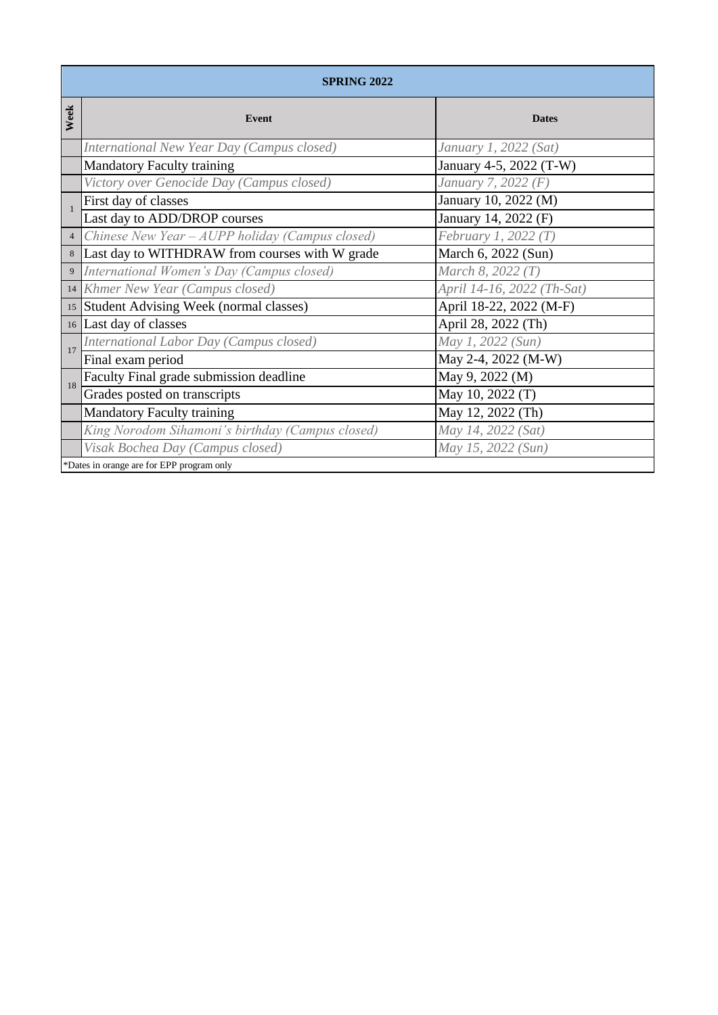|                | <b>SPRING 2022</b>                               |                            |  |  |
|----------------|--------------------------------------------------|----------------------------|--|--|
| Week           | Event                                            | <b>Dates</b>               |  |  |
|                | International New Year Day (Campus closed)       | January 1, 2022 (Sat)      |  |  |
|                | <b>Mandatory Faculty training</b>                | January 4-5, 2022 (T-W)    |  |  |
|                | Victory over Genocide Day (Campus closed)        | January 7, 2022 (F)        |  |  |
|                | First day of classes                             | January 10, 2022 (M)       |  |  |
|                | Last day to ADD/DROP courses                     | January 14, 2022 (F)       |  |  |
| $\overline{4}$ | Chinese New Year - AUPP holiday (Campus closed)  | February 1, 2022 $(T)$     |  |  |
| $\,8\,$        | Last day to WITHDRAW from courses with W grade   | March 6, 2022 (Sun)        |  |  |
| 9              | International Women's Day (Campus closed)        | March 8, 2022 (T)          |  |  |
| 14             | Khmer New Year (Campus closed)                   | April 14-16, 2022 (Th-Sat) |  |  |
|                | 15 Student Advising Week (normal classes)        | April 18-22, 2022 (M-F)    |  |  |
|                | 16 Last day of classes                           | April 28, 2022 (Th)        |  |  |
| 17             | International Labor Day (Campus closed)          | May 1, 2022 (Sun)          |  |  |
|                | Final exam period                                | May 2-4, 2022 (M-W)        |  |  |
| 18             | Faculty Final grade submission deadline          | May 9, 2022 (M)            |  |  |
|                | Grades posted on transcripts                     | May 10, 2022 (T)           |  |  |
|                | <b>Mandatory Faculty training</b>                | May 12, 2022 (Th)          |  |  |
|                | King Norodom Sihamoni's birthday (Campus closed) | May 14, 2022 (Sat)         |  |  |
|                | Visak Bochea Day (Campus closed)                 | May 15, 2022 (Sun)         |  |  |
|                | *Dates in orange are for EPP program only        |                            |  |  |